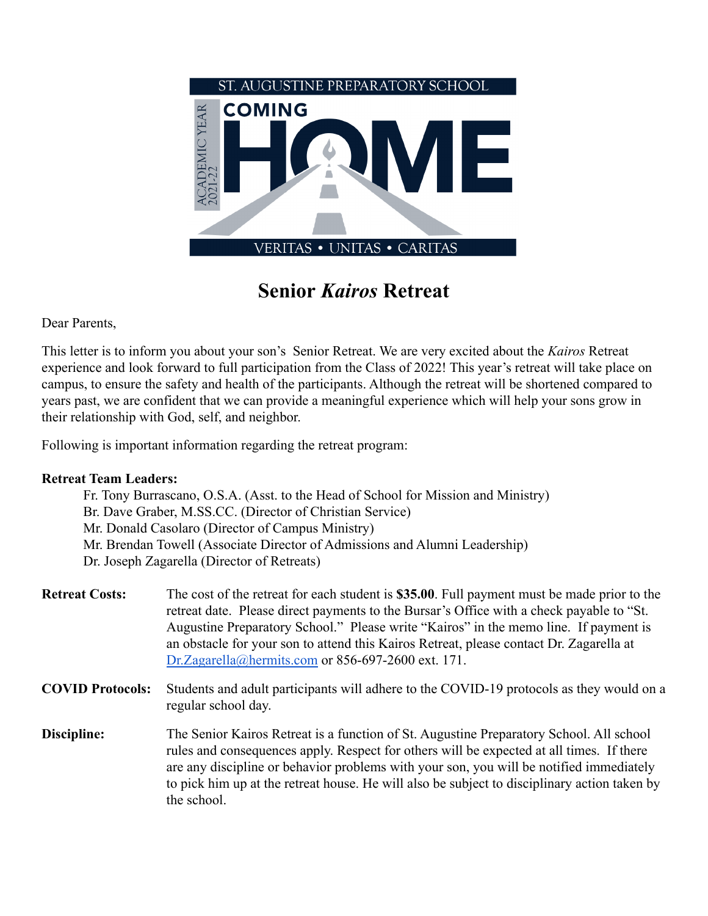

**Senior** *Kairos* **Retreat**

Dear Parents,

This letter is to inform you about your son's Senior Retreat. We are very excited about the *Kairos* Retreat experience and look forward to full participation from the Class of 2022! This year's retreat will take place on campus, to ensure the safety and health of the participants. Although the retreat will be shortened compared to years past, we are confident that we can provide a meaningful experience which will help your sons grow in their relationship with God, self, and neighbor.

Following is important information regarding the retreat program:

## **Retreat Team Leaders:**

| Fr. Tony Burrascano, O.S.A. (Asst. to the Head of School for Mission and Ministry) |
|------------------------------------------------------------------------------------|
| Br. Dave Graber, M.S.S.CC. (Director of Christian Service)                         |
| Mr. Donald Casolaro (Director of Campus Ministry)                                  |
| Mr. Brendan Towell (Associate Director of Admissions and Alumni Leadership)        |
| Dr. Joseph Zagarella (Director of Retreats)                                        |

- **Retreat Costs:** The cost of the retreat for each student is **\$35.00**. Full payment must be made prior to the retreat date. Please direct payments to the Bursar's Office with a check payable to "St. Augustine Preparatory School." Please write "Kairos" in the memo line. If payment is an obstacle for your son to attend this Kairos Retreat, please contact Dr. Zagarella at [Dr.Zagarella@hermits.com](mailto:Dr.Zagarella@hermits.com) or 856-697-2600 ext. 171.
- **COVID Protocols:** Students and adult participants will adhere to the COVID-19 protocols as they would on a regular school day.
- **Discipline:** The Senior Kairos Retreat is a function of St. Augustine Preparatory School. All school rules and consequences apply. Respect for others will be expected at all times. If there are any discipline or behavior problems with your son, you will be notified immediately to pick him up at the retreat house. He will also be subject to disciplinary action taken by the school.